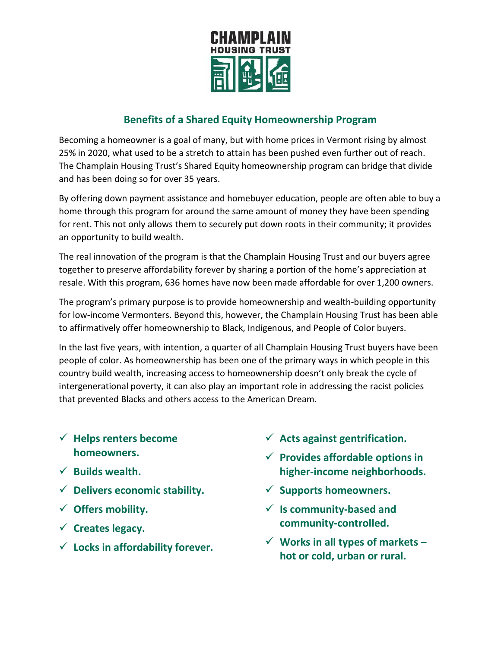

# **Benefits of a Shared Equity Homeownership Program**

Becoming a homeowner is a goal of many, but with home prices in Vermont rising by almost 25% in 2020, what used to be a stretch to attain has been pushed even further out of reach. The Champlain Housing Trust's Shared Equity homeownership program can bridge that divide and has been doing so for over 35 years.

By offering down payment assistance and homebuyer education, people are often able to buy a home through this program for around the same amount of money they have been spending for rent. This not only allows them to securely put down roots in their community; it provides an opportunity to build wealth.

The real innovation of the program is that the Champlain Housing Trust and our buyers agree together to preserve affordability forever by sharing a portion of the home's appreciation at resale. With this program, 636 homes have now been made affordable for over 1,200 owners.

The program's primary purpose is to provide homeownership and wealth-building opportunity for low-income Vermonters. Beyond this, however, the Champlain Housing Trust has been able to affirmatively offer homeownership to Black, Indigenous, and People of Color buyers.

In the last five years, with intention, a quarter of all Champlain Housing Trust buyers have been people of color. As homeownership has been one of the primary ways in which people in this country build wealth, increasing access to homeownership doesn't only break the cycle of intergenerational poverty, it can also play an important role in addressing the racist policies that prevented Blacks and others access to the American Dream.

- **Helps renters become homeowners.**
- **Builds wealth.**
- **Delivers economic stability.**
- **Offers mobility.**
- **Creates legacy.**
- **Locks in affordability forever.**
- **Acts against gentrification.**
- **Provides affordable options in higher-income neighborhoods.**
- **Supports homeowners.**
- **Is community-based and community-controlled.**
- **Works in all types of markets – hot or cold, urban or rural.**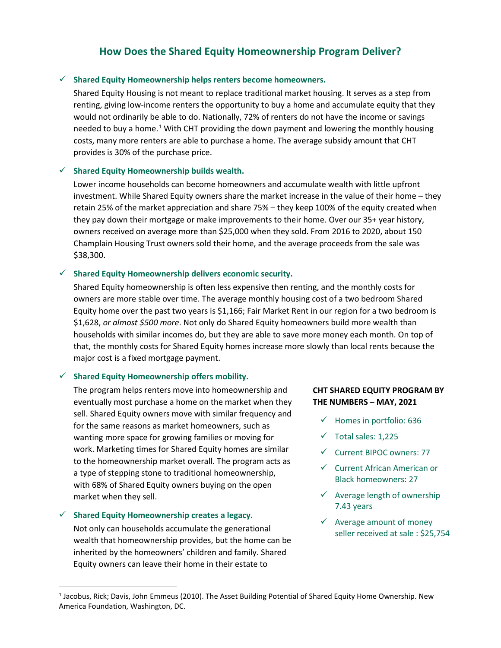## **How Does the Shared Equity Homeownership Program Deliver?**

#### **Shared Equity Homeownership helps renters become homeowners.**

Shared Equity Housing is not meant to replace traditional market housing. It serves as a step from renting, giving low-income renters the opportunity to buy a home and accumulate equity that they would not ordinarily be able to do. Nationally, 72% of renters do not have the income or savings needed to buy a home.<sup>[1](#page-1-0)</sup> With CHT providing the down payment and lowering the monthly housing costs, many more renters are able to purchase a home. The average subsidy amount that CHT provides is 30% of the purchase price.

#### **Shared Equity Homeownership builds wealth.**

Lower income households can become homeowners and accumulate wealth with little upfront investment. While Shared Equity owners share the market increase in the value of their home – they retain 25% of the market appreciation and share 75% – they keep 100% of the equity created when they pay down their mortgage or make improvements to their home. Over our 35+ year history, owners received on average more than \$25,000 when they sold. From 2016 to 2020, about 150 Champlain Housing Trust owners sold their home, and the average proceeds from the sale was \$38,300.

#### **Shared Equity Homeownership delivers economic security.**

Shared Equity homeownership is often less expensive then renting, and the monthly costs for owners are more stable over time. The average monthly housing cost of a two bedroom Shared Equity home over the past two years is \$1,166; Fair Market Rent in our region for a two bedroom is \$1,628, *or almost \$500 more*. Not only do Shared Equity homeowners build more wealth than households with similar incomes do, but they are able to save more money each month. On top of that, the monthly costs for Shared Equity homes increase more slowly than local rents because the major cost is a fixed mortgage payment.

#### **Shared Equity Homeownership offers mobility.**

The program helps renters move into homeownership and eventually most purchase a home on the market when they sell. Shared Equity owners move with similar frequency and for the same reasons as market homeowners, such as wanting more space for growing families or moving for work. Marketing times for Shared Equity homes are similar to the homeownership market overall. The program acts as a type of stepping stone to traditional homeownership, with 68% of Shared Equity owners buying on the open market when they sell.

#### **Shared Equity Homeownership creates a legacy.**

Not only can households accumulate the generational wealth that homeownership provides, but the home can be inherited by the homeowners' children and family. Shared Equity owners can leave their home in their estate to

### **CHT SHARED EQUITY PROGRAM BY THE NUMBERS – MAY, 2021**

- $\checkmark$  Homes in portfolio: 636
- $\checkmark$  Total sales: 1,225
- $\checkmark$  Current BIPOC owners: 77
- $\checkmark$  Current African American or Black homeowners: 27
- $\checkmark$  Average length of ownership 7.43 years
- $\checkmark$  Average amount of money seller received at sale : \$25,754

<span id="page-1-0"></span> <sup>1</sup> Jacobus, Rick; Davis, John Emmeus (2010). The Asset Building Potential of Shared Equity Home Ownership. New America Foundation, Washington, DC.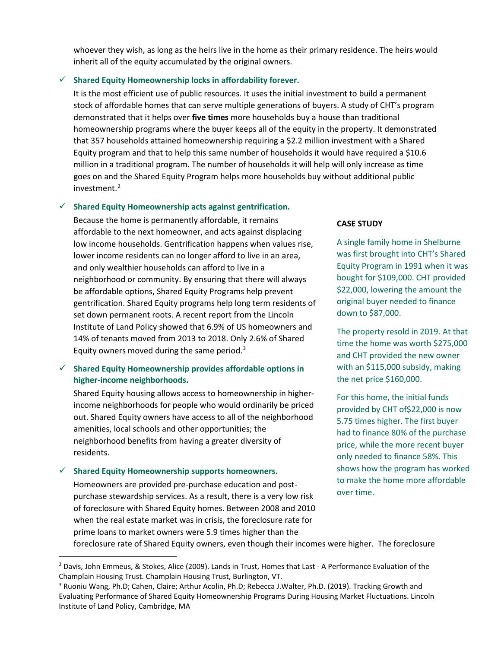whoever they wish, as long as the heirs live in the home as their primary residence. The heirs would inherit all of the equity accumulated by the original owners.

#### **Shared Equity Homeownership locks in affordability forever.**

It is the most efficient use of public resources. It uses the initial investment to build a permanent stock of affordable homes that can serve multiple generations of buyers. A study of CHT's program demonstrated that it helps over **five times** more households buy a house than traditional homeownership programs where the buyer keeps all of the equity in the property. It demonstrated that 357 households attained homeownership requiring a \$2.2 million investment with a Shared Equity program and that to help this same number of households it would have required a \$10.6 million in a traditional program. The number of households it will help will only increase as time goes on and the Shared Equity Program helps more households buy without additional public investment. $2$ 

#### **Shared Equity Homeownership acts against gentrification.**

Because the home is permanently affordable, it remains affordable to the next homeowner, and acts against displacing low income households. Gentrification happens when values rise, lower income residents can no longer afford to live in an area, and only wealthier households can afford to live in a neighborhood or community. By ensuring that there will always be affordable options, Shared Equity Programs help prevent gentrification. Shared Equity programs help long term residents of set down permanent roots. A recent report from the Lincoln Institute of Land Policy showed that 6.9% of US homeowners and 14% of tenants moved from 2013 to 2018. Only 2.6% of Shared Equity owners moved during the same period. $3$ 

### **Shared Equity Homeownership provides affordable options in higher-income neighborhoods.**

Shared Equity housing allows access to homeownership in higherincome neighborhoods for people who would ordinarily be priced out. Shared Equity owners have access to all of the neighborhood amenities, local schools and other opportunities; the neighborhood benefits from having a greater diversity of residents.

#### **Shared Equity Homeownership supports homeowners.**

Homeowners are provided pre-purchase education and postpurchase stewardship services. As a result, there is a very low risk of foreclosure with Shared Equity homes. Between 2008 and 2010 when the real estate market was in crisis, the foreclosure rate for prime loans to market owners were 5.9 times higher than the

#### **CASE STUDY**

A single family home in Shelburne was first brought into CHT's Shared Equity Program in 1991 when it was bought for \$109,000. CHT provided \$22,000, lowering the amount the original buyer needed to finance down to \$87,000.

The property resold in 2019. At that time the home was worth \$275,000 and CHT provided the new owner with an \$115,000 subsidy, making the net price \$160,000.

For this home, the initial funds provided by CHT of\$22,000 is now 5.75 times higher. The first buyer had to finance 80% of the purchase price, while the more recent buyer only needed to finance 58%. This shows how the program has worked to make the home more affordable over time.

foreclosure rate of Shared Equity owners, even though their incomes were higher. The foreclosure

<span id="page-2-0"></span><sup>&</sup>lt;sup>2</sup> Davis, John Emmeus, & Stokes, Alice (2009). Lands in Trust, Homes that Last - A Performance Evaluation of the Champlain Housing Trust. Champlain Housing Trust, Burlington, VT.

<span id="page-2-1"></span><sup>3</sup> Ruoniu Wang, Ph.D; Cahen, Claire; Arthur Acolin, Ph.D; Rebecca J.Walter, Ph.D. (2019). Tracking Growth and Evaluating Performance of Shared Equity Homeownership Programs During Housing Market Fluctuations. Lincoln Institute of Land Policy, Cambridge, MA